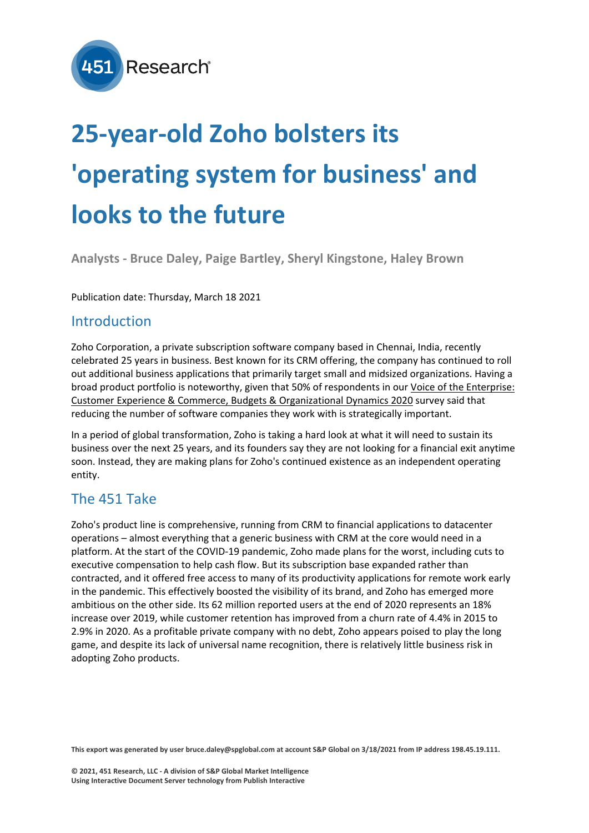

# **25-year-old Zoho bolsters its 'operating system for business' and looks to the future**

**Analysts - Bruce Daley, Paige Bartley, Sheryl Kingstone, Haley Brown**

Publication date: Thursday, March 18 2021

#### Introduction

Zoho Corporation, a private subscription software company based in Chennai, India, recently celebrated 25 years in business. Best known for its CRM offering, the company has continued to roll out additional business applications that primarily target small and midsized organizations. Having a broad product portfolio is noteworthy, given that 50% of respondents in our [Voice of the Enterprise:](https://clients.451research.com/reports/100449)  [Customer Experience & Commerce, Budgets & Organizational Dynamics 2020](https://clients.451research.com/reports/100449) survey said that reducing the number of software companies they work with is strategically important.

In a period of global transformation, Zoho is taking a hard look at what it will need to sustain its business over the next 25 years, and its founders say they are not looking for a financial exit anytime soon. Instead, they are making plans for Zoho's continued existence as an independent operating entity.

## The 451 Take

Zoho's product line is comprehensive, running from CRM to financial applications to datacenter operations – almost everything that a generic business with CRM at the core would need in a platform. At the start of the COVID-19 pandemic, Zoho made plans for the worst, including cuts to executive compensation to help cash flow. But its subscription base expanded rather than contracted, and it offered free access to many of its productivity applications for remote work early in the pandemic. This effectively boosted the visibility of its brand, and Zoho has emerged more ambitious on the other side. Its 62 million reported users at the end of 2020 represents an 18% increase over 2019, while customer retention has improved from a churn rate of 4.4% in 2015 to 2.9% in 2020. As a profitable private company with no debt, Zoho appears poised to play the long game, and despite its lack of universal name recognition, there is relatively little business risk in adopting Zoho products.

**This export was generated by user bruce.daley@spglobal.com at account S&P Global on 3/18/2021 from IP address 198.45.19.111.**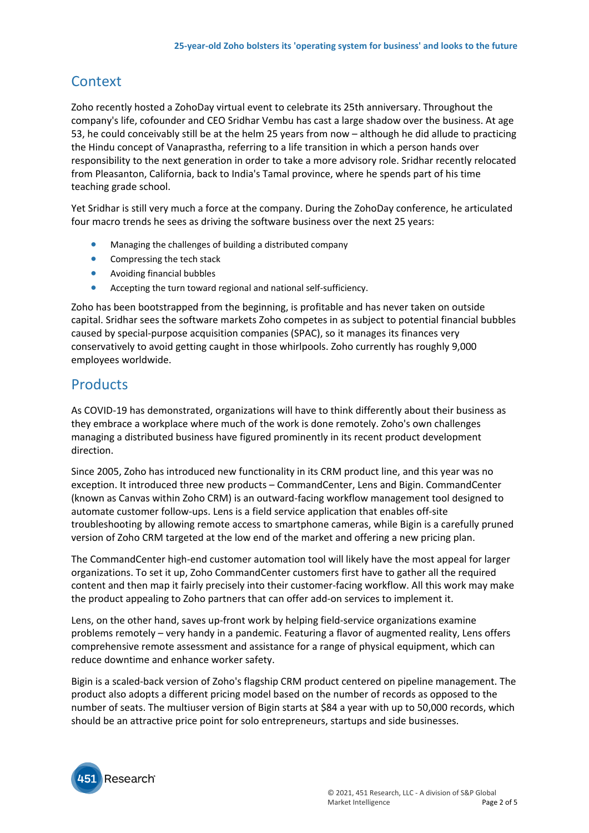# **Context**

Zoho recently hosted a ZohoDay virtual event to celebrate its 25th anniversary. Throughout the company's life, cofounder and CEO Sridhar Vembu has cast a large shadow over the business. At age 53, he could conceivably still be at the helm 25 years from now – although he did allude to practicing the Hindu concept of Vanaprastha, referring to a life transition in which a person hands over responsibility to the next generation in order to take a more advisory role. Sridhar recently relocated from Pleasanton, California, back to India's Tamal province, where he spends part of his time teaching grade school.

Yet Sridhar is still very much a force at the company. During the ZohoDay conference, he articulated four macro trends he sees as driving the software business over the next 25 years:

- Managing the challenges of building a distributed company
- Compressing the tech stack
- Avoiding financial bubbles
- Accepting the turn toward regional and national self-sufficiency.

Zoho has been bootstrapped from the beginning, is profitable and has never taken on outside capital. Sridhar sees the software markets Zoho competes in as subject to potential financial bubbles caused by special-purpose acquisition companies (SPAC), so it manages its finances very conservatively to avoid getting caught in those whirlpools. Zoho currently has roughly 9,000 employees worldwide.

#### **Products**

As COVID-19 has demonstrated, organizations will have to think differently about their business as they embrace a workplace where much of the work is done remotely. Zoho's own challenges managing a distributed business have figured prominently in its recent product development direction.

Since 2005, Zoho has introduced new functionality in its CRM product line, and this year was no exception. It introduced three new products – CommandCenter, Lens and Bigin. CommandCenter (known as Canvas within Zoho CRM) is an outward-facing workflow management tool designed to automate customer follow-ups. Lens is a field service application that enables off-site troubleshooting by allowing remote access to smartphone cameras, while Bigin is a carefully pruned version of Zoho CRM targeted at the low end of the market and offering a new pricing plan.

The CommandCenter high-end customer automation tool will likely have the most appeal for larger organizations. To set it up, Zoho CommandCenter customers first have to gather all the required content and then map it fairly precisely into their customer-facing workflow. All this work may make the product appealing to Zoho partners that can offer add-on services to implement it.

Lens, on the other hand, saves up-front work by helping field-service organizations examine problems remotely – very handy in a pandemic. Featuring a flavor of augmented reality, Lens offers comprehensive remote assessment and assistance for a range of physical equipment, which can reduce downtime and enhance worker safety.

Bigin is a scaled-back version of Zoho's flagship CRM product centered on pipeline management. The product also adopts a different pricing model based on the number of records as opposed to the number of seats. The multiuser version of Bigin starts at \$84 a year with up to 50,000 records, which should be an attractive price point for solo entrepreneurs, startups and side businesses.

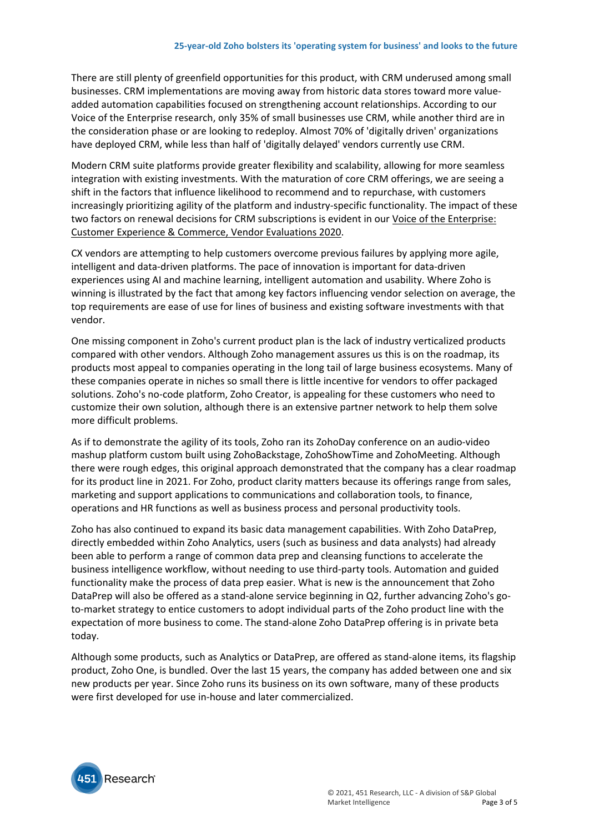There are still plenty of greenfield opportunities for this product, with CRM underused among small businesses. CRM implementations are moving away from historic data stores toward more valueadded automation capabilities focused on strengthening account relationships. According to our Voice of the Enterprise research, only 35% of small businesses use CRM, while another third are in the consideration phase or are looking to redeploy. Almost 70% of 'digitally driven' organizations have deployed CRM, while less than half of 'digitally delayed' vendors currently use CRM.

Modern CRM suite platforms provide greater flexibility and scalability, allowing for more seamless integration with existing investments. With the maturation of core CRM offerings, we are seeing a shift in the factors that influence likelihood to recommend and to repurchase, with customers increasingly prioritizing agility of the platform and industry-specific functionality. The impact of these two factors on renewal decisions for CRM subscriptions is evident in our [Voice of the Enterprise:](https://clients.451research.com/reports/101413)  [Customer Experience & Commerce, Vendor Evaluations 2020.](https://clients.451research.com/reports/101413)

CX vendors are attempting to help customers overcome previous failures by applying more agile, intelligent and data-driven platforms. The pace of innovation is important for data-driven experiences using AI and machine learning, intelligent automation and usability. Where Zoho is winning is illustrated by the fact that among key factors influencing vendor selection on average, the top requirements are ease of use for lines of business and existing software investments with that vendor.

One missing component in Zoho's current product plan is the lack of industry verticalized products compared with other vendors. Although Zoho management assures us this is on the roadmap, its products most appeal to companies operating in the long tail of large business ecosystems. Many of these companies operate in niches so small there is little incentive for vendors to offer packaged solutions. Zoho's no-code platform, Zoho Creator, is appealing for these customers who need to customize their own solution, although there is an extensive partner network to help them solve more difficult problems.

As if to demonstrate the agility of its tools, Zoho ran its ZohoDay conference on an audio-video mashup platform custom built using ZohoBackstage, ZohoShowTime and ZohoMeeting. Although there were rough edges, this original approach demonstrated that the company has a clear roadmap for its product line in 2021. For Zoho, product clarity matters because its offerings range from sales, marketing and support applications to communications and collaboration tools, to finance, operations and HR functions as well as business process and personal productivity tools.

Zoho has also continued to expand its basic data management capabilities. With Zoho DataPrep, directly embedded within Zoho Analytics, users (such as business and data analysts) had already been able to perform a range of common data prep and cleansing functions to accelerate the business intelligence workflow, without needing to use third-party tools. Automation and guided functionality make the process of data prep easier. What is new is the announcement that Zoho DataPrep will also be offered as a stand-alone service beginning in Q2, further advancing Zoho's goto-market strategy to entice customers to adopt individual parts of the Zoho product line with the expectation of more business to come. The stand-alone Zoho DataPrep offering is in private beta today.

Although some products, such as Analytics or DataPrep, are offered as stand-alone items, its flagship product, Zoho One, is bundled. Over the last 15 years, the company has added between one and six new products per year. Since Zoho runs its business on its own software, many of these products were first developed for use in-house and later commercialized.

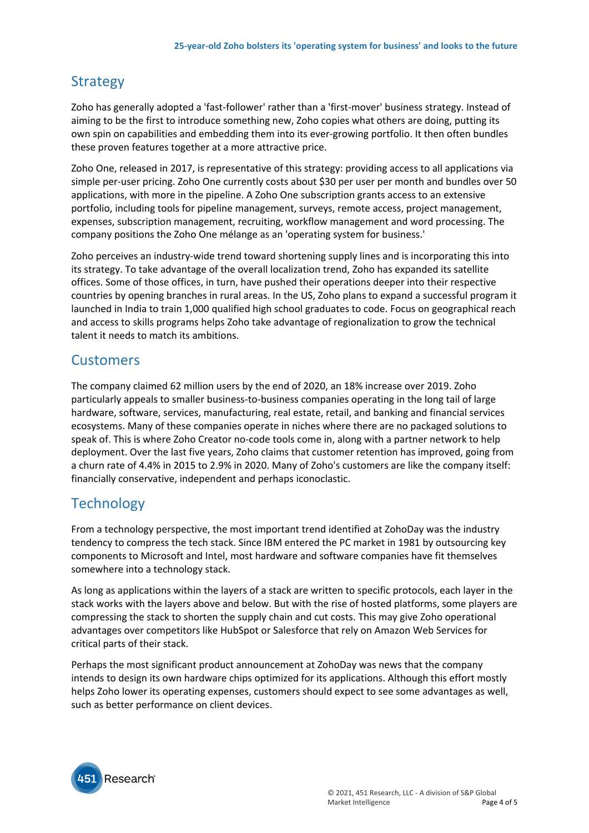## **Strategy**

Zoho has generally adopted a 'fast-follower' rather than a 'first-mover' business strategy. Instead of aiming to be the first to introduce something new, Zoho copies what others are doing, putting its own spin on capabilities and embedding them into its ever-growing portfolio. It then often bundles these proven features together at a more attractive price.

Zoho One, released in 2017, is representative of this strategy: providing access to all applications via simple per-user pricing. Zoho One currently costs about \$30 per user per month and bundles over 50 applications, with more in the pipeline. A Zoho One subscription grants access to an extensive portfolio, including tools for pipeline management, surveys, remote access, project management, expenses, subscription management, recruiting, workflow management and word processing. The company positions the Zoho One mélange as an 'operating system for business.'

Zoho perceives an industry-wide trend toward shortening supply lines and is incorporating this into its strategy. To take advantage of the overall localization trend, Zoho has expanded its satellite offices. Some of those offices, in turn, have pushed their operations deeper into their respective countries by opening branches in rural areas. In the US, Zoho plans to expand a successful program it launched in India to train 1,000 qualified high school graduates to code. Focus on geographical reach and access to skills programs helps Zoho take advantage of regionalization to grow the technical talent it needs to match its ambitions.

#### **Customers**

The company claimed 62 million users by the end of 2020, an 18% increase over 2019. Zoho particularly appeals to smaller business-to-business companies operating in the long tail of large hardware, software, services, manufacturing, real estate, retail, and banking and financial services ecosystems. Many of these companies operate in niches where there are no packaged solutions to speak of. This is where Zoho Creator no-code tools come in, along with a partner network to help deployment. Over the last five years, Zoho claims that customer retention has improved, going from a churn rate of 4.4% in 2015 to 2.9% in 2020. Many of Zoho's customers are like the company itself: financially conservative, independent and perhaps iconoclastic.

## **Technology**

From a technology perspective, the most important trend identified at ZohoDay was the industry tendency to compress the tech stack. Since IBM entered the PC market in 1981 by outsourcing key components to Microsoft and Intel, most hardware and software companies have fit themselves somewhere into a technology stack.

As long as applications within the layers of a stack are written to specific protocols, each layer in the stack works with the layers above and below. But with the rise of hosted platforms, some players are compressing the stack to shorten the supply chain and cut costs. This may give Zoho operational advantages over competitors like HubSpot or Salesforce that rely on Amazon Web Services for critical parts of their stack.

Perhaps the most significant product announcement at ZohoDay was news that the company intends to design its own hardware chips optimized for its applications. Although this effort mostly helps Zoho lower its operating expenses, customers should expect to see some advantages as well, such as better performance on client devices.